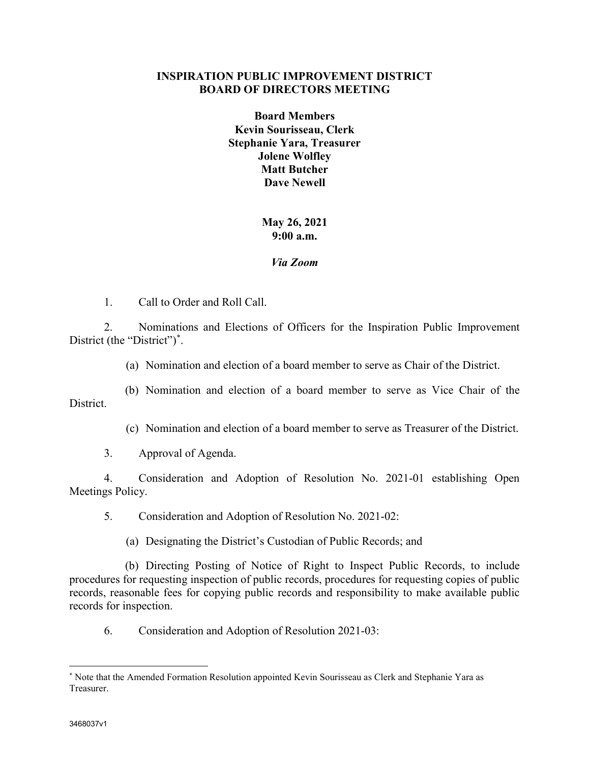## INSPIRATION PUBLIC IMPROVEMENT DISTRICT BOARD OF DIRECTORS MEETING

Board Members Kevin Sourisseau, Clerk Stephanie Yara, Treasurer Jolene Wolfley Matt Butcher Dave Newell

## May 26, 2021 9:00 a.m.

## Via Zoom

1. Call to Order and Roll Call.

2. Nominations and Elections of Officers for the Inspiration Public Improvement District (the "District")<sup>\*</sup>.

(a) Nomination and election of a board member to serve as Chair of the District.

(b) Nomination and election of a board member to serve as Vice Chair of the District.

(c) Nomination and election of a board member to serve as Treasurer of the District.

3. Approval of Agenda.

4. Consideration and Adoption of Resolution No. 2021-01 establishing Open Meetings Policy.

5. Consideration and Adoption of Resolution No. 2021-02:

(a) Designating the District's Custodian of Public Records; and

(b) Directing Posting of Notice of Right to Inspect Public Records, to include procedures for requesting inspection of public records, procedures for requesting copies of public records, reasonable fees for copying public records and responsibility to make available public records for inspection.

6. Consideration and Adoption of Resolution 2021-03:

 $\overline{a}$ 

<sup>\*</sup> Note that the Amended Formation Resolution appointed Kevin Sourisseau as Clerk and Stephanie Yara as Treasurer.